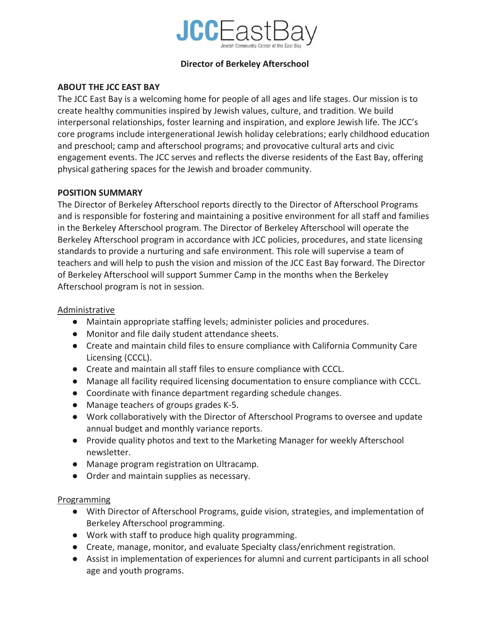

# **Director of Berkeley Afterschool**

# **ABOUT THE JCC EAST BAY**

The JCC East Bay is a welcoming home for people of all ages and life stages. Our mission is to create healthy communities inspired by Jewish values, culture, and tradition. We build interpersonal relationships, foster learning and inspiration, and explore Jewish life. The JCC's core programs include intergenerational Jewish holiday celebrations; early childhood education and preschool; camp and afterschool programs; and provocative cultural arts and civic engagement events. The JCC serves and reflects the diverse residents of the East Bay, offering physical gathering spaces for the Jewish and broader community.

### **POSITION SUMMARY**

The Director of Berkeley Afterschool reports directly to the Director of Afterschool Programs and is responsible for fostering and maintaining a positive environment for all staff and families in the Berkeley Afterschool program. The Director of Berkeley Afterschool will operate the Berkeley Afterschool program in accordance with JCC policies, procedures, and state licensing standards to provide a nurturing and safe environment. This role will supervise a team of teachers and will help to push the vision and mission of the JCC East Bay forward. The Director of Berkeley Afterschool will support Summer Camp in the months when the Berkeley Afterschool program is not in session.

# Administrative

- Maintain appropriate staffing levels; administer policies and procedures.
- Monitor and file daily student attendance sheets.
- Create and maintain child files to ensure compliance with California Community Care Licensing (CCCL).
- Create and maintain all staff files to ensure compliance with CCCL.
- Manage all facility required licensing documentation to ensure compliance with CCCL.
- Coordinate with finance department regarding schedule changes.
- Manage teachers of groups grades K-5.
- Work collaboratively with the Director of Afterschool Programs to oversee and update annual budget and monthly variance reports.
- Provide quality photos and text to the Marketing Manager for weekly Afterschool newsletter.
- Manage program registration on Ultracamp.
- Order and maintain supplies as necessary.

### Programming

- With Director of Afterschool Programs, guide vision, strategies, and implementation of Berkeley Afterschool programming.
- Work with staff to produce high quality programming.
- Create, manage, monitor, and evaluate Specialty class/enrichment registration.
- Assist in implementation of experiences for alumni and current participants in all school age and youth programs.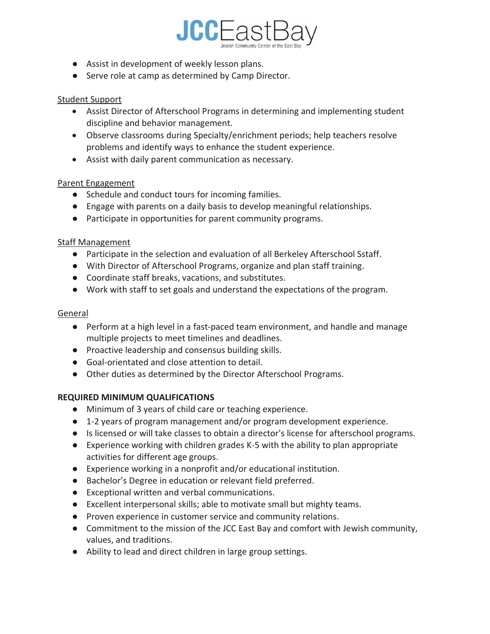

- Assist in development of weekly lesson plans.
- Serve role at camp as determined by Camp Director.

### Student Support

- Assist Director of Afterschool Programs in determining and implementing student discipline and behavior management.
- Observe classrooms during Specialty/enrichment periods; help teachers resolve problems and identify ways to enhance the student experience.
- Assist with daily parent communication as necessary.

### Parent Engagement

- Schedule and conduct tours for incoming families.
- Engage with parents on a daily basis to develop meaningful relationships.
- Participate in opportunities for parent community programs.

#### Staff Management

- Participate in the selection and evaluation of all Berkeley Afterschool Sstaff.
- With Director of Afterschool Programs, organize and plan staff training.
- Coordinate staff breaks, vacations, and substitutes.
- Work with staff to set goals and understand the expectations of the program.

#### General

- Perform at a high level in a fast-paced team environment, and handle and manage multiple projects to meet timelines and deadlines.
- Proactive leadership and consensus building skills.
- Goal-orientated and close attention to detail.
- Other duties as determined by the Director Afterschool Programs.

### **REQUIRED MINIMUM QUALIFICATIONS**

- Minimum of 3 years of child care or teaching experience.
- 1-2 years of program management and/or program development experience.
- Is licensed or will take classes to obtain a director's license for afterschool programs.
- Experience working with children grades K-5 with the ability to plan appropriate activities for different age groups.
- Experience working in a nonprofit and/or educational institution.
- Bachelor's Degree in education or relevant field preferred.
- Exceptional written and verbal communications.
- Excellent interpersonal skills; able to motivate small but mighty teams.
- Proven experience in customer service and community relations.
- Commitment to the mission of the JCC East Bay and comfort with Jewish community, values, and traditions.
- Ability to lead and direct children in large group settings.